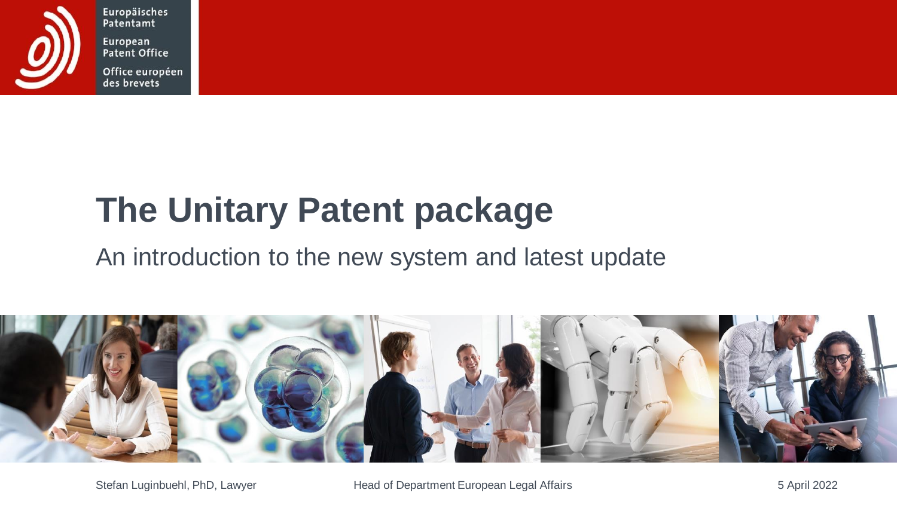

Europäisches Patentamt European Patent Office

Office européen des brevets

# **The Unitary Patent package**

#### An introduction to the new system and latest update

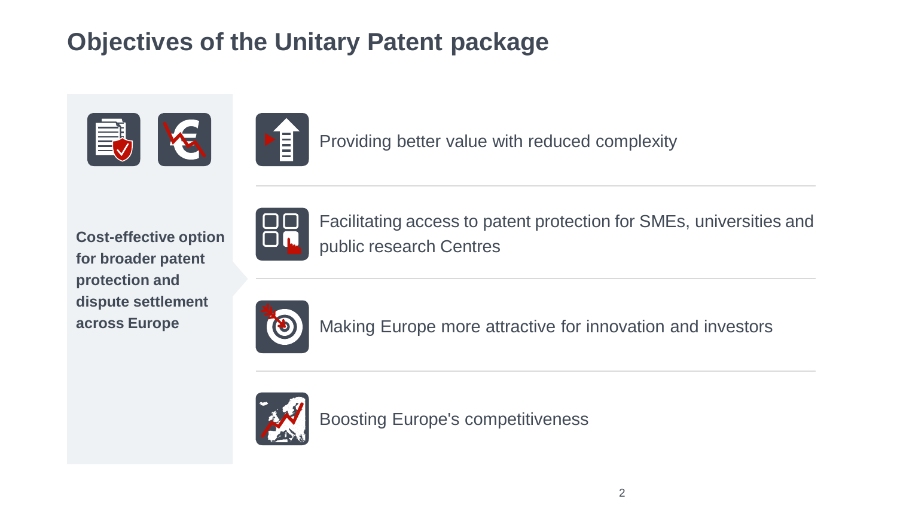# **Objectives of the Unitary Patent package**



Providing better value with reduced complexity

**Cost-effective option for broader patent protection and dispute settlement across Europe**



Facilitating access to patent protection for SMEs, universities and public research Centres



Making Europe more attractive for innovation and investors



Boosting Europe's competitiveness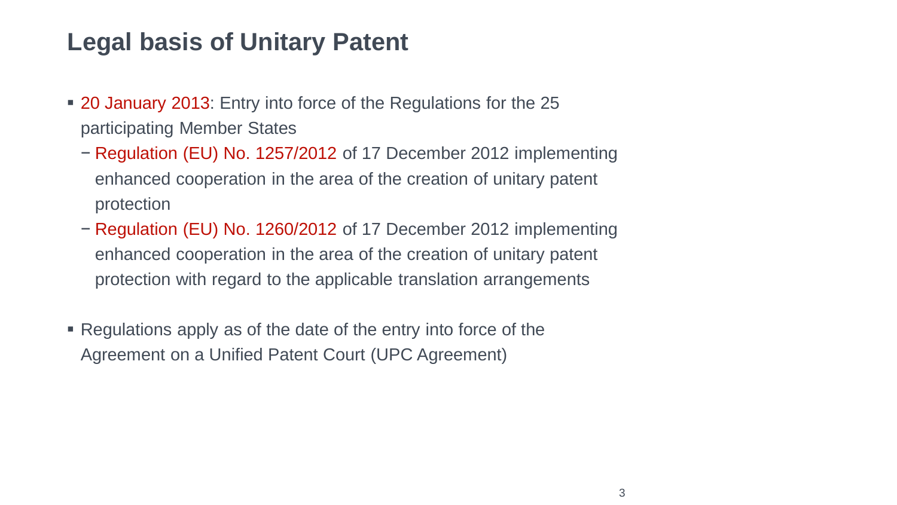#### **Legal basis of Unitary Patent**

- 20 January 2013: Entry into force of the Regulations for the 25 participating Member States
	- − Regulation (EU) No. 1257/2012 of 17 December 2012 implementing enhanced cooperation in the area of the creation of unitary patent protection
	- − Regulation (EU) No. 1260/2012 of 17 December 2012 implementing enhanced cooperation in the area of the creation of unitary patent protection with regard to the applicable translation arrangements
- Regulations apply as of the date of the entry into force of the Agreement on a Unified Patent Court (UPC Agreement)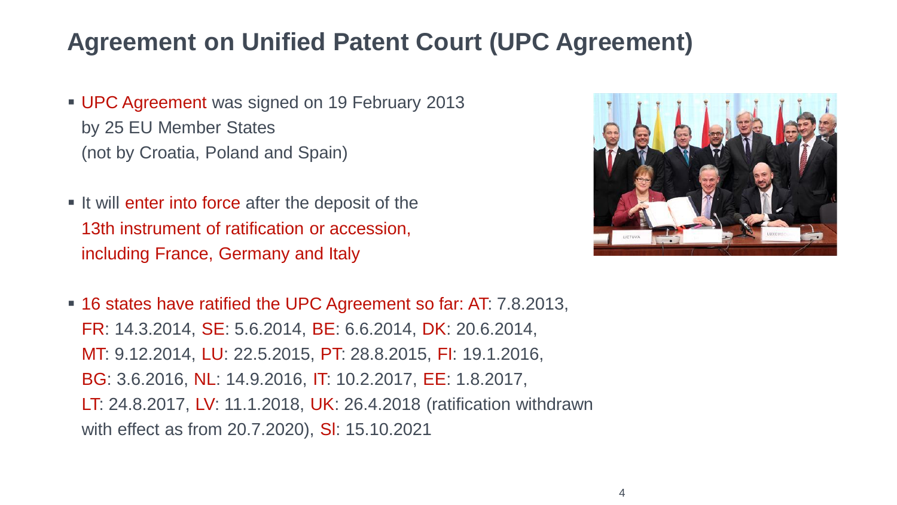#### **Agreement on Unified Patent Court (UPC Agreement)**

- **UPC Agreement was signed on 19 February 2013** by 25 EU Member States (not by Croatia, Poland and Spain)
- **.** It will enter into force after the deposit of the 13th instrument of ratification or accession, including France, Germany and Italy



▪ 16 states have ratified the UPC Agreement so far: AT: 7.8.2013, FR: 14.3.2014, SE: 5.6.2014, BE: 6.6.2014, DK: 20.6.2014, MT: 9.12.2014, LU: 22.5.2015, PT: 28.8.2015, FI: 19.1.2016, BG: 3.6.2016, NL: 14.9.2016, IT: 10.2.2017, EE: 1.8.2017, LT: 24.8.2017, LV: 11.1.2018, UK: 26.4.2018 (ratification withdrawn with effect as from 20.7.2020), Sl: 15.10.2021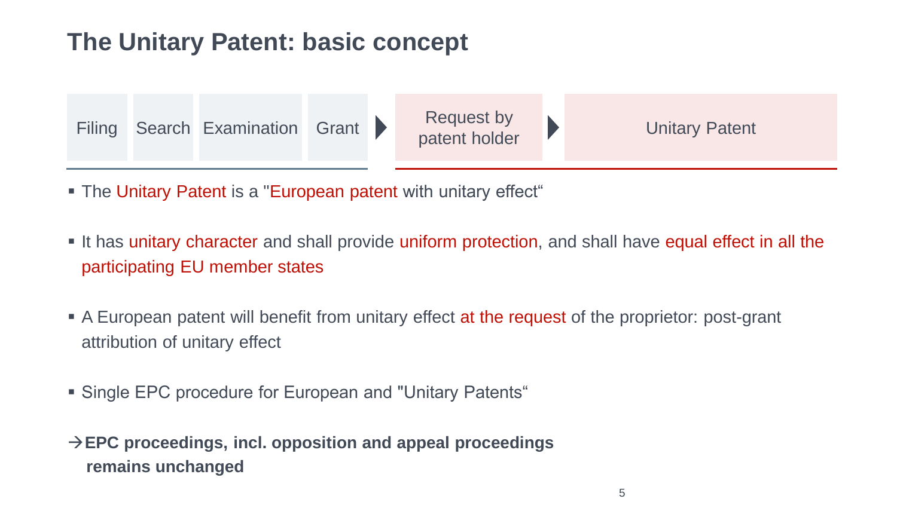## **The Unitary Patent: basic concept**



**• The Unitary Patent is a "European patent with unitary effect"** 

- **.** It has unitary character and shall provide uniform protection, and shall have equal effect in all the participating EU member states
- **EXECT** A European patent will benefit from unitary effect at the request of the proprietor: post-grant attribution of unitary effect
- Single EPC procedure for European and "Unitary Patents"
- →**EPC proceedings, incl. opposition and appeal proceedings remains unchanged**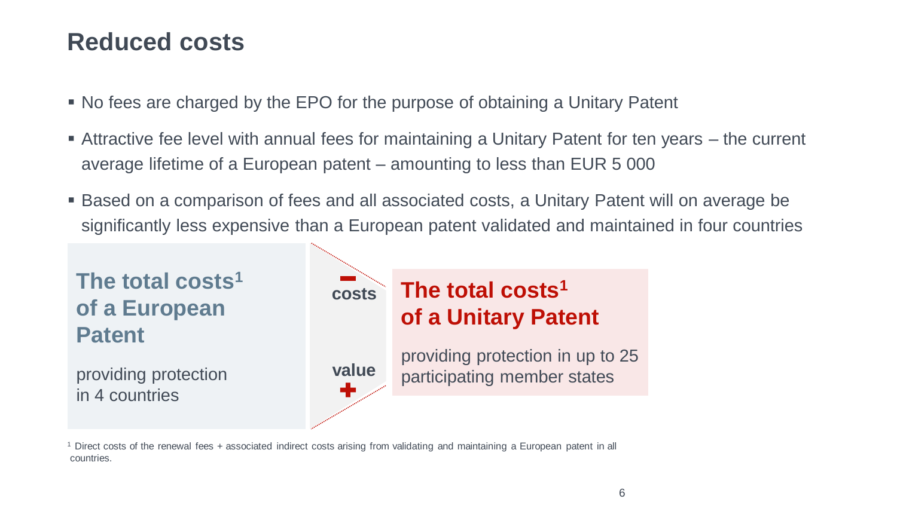#### **Reduced costs**

- No fees are charged by the EPO for the purpose of obtaining a Unitary Patent
- **Example 2 Attractive fee level with annual fees for maintaining a Unitary Patent for ten years the current** average lifetime of a European patent – amounting to less than EUR 5 000
- **Based on a comparison of fees and all associated costs, a Unitary Patent will on average be** significantly less expensive than a European patent validated and maintained in four countries



<sup>1</sup>Direct costs of the renewal fees + associated indirect costs arising from validating and maintaining a European patent in all countries.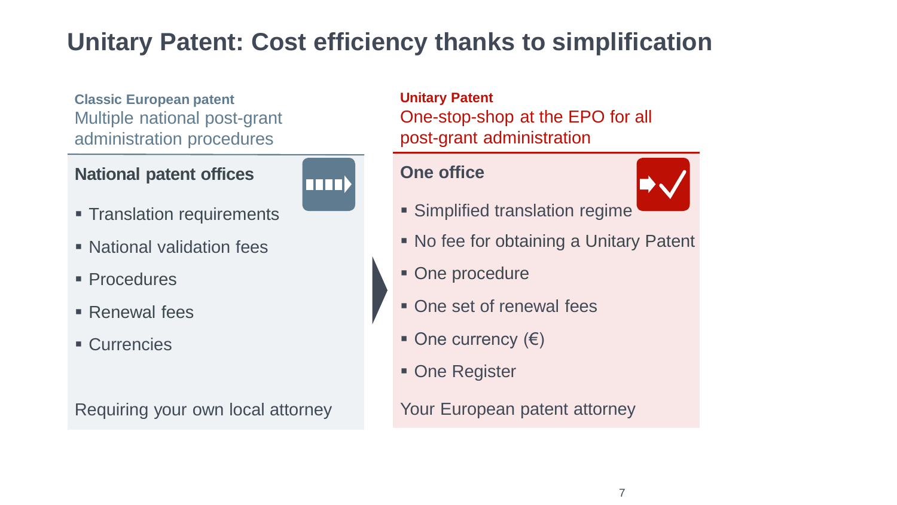# **Unitary Patent: Cost efficiency thanks to simplification**

**Classic European patent** Multiple national post-grant administration procedures

#### **National patent offices**



- **Translation requirements**
- National validation fees
- Procedures
- Renewal fees
- Currencies

Requiring your own local attorney

**Unitary Patent** One-stop-shop at the EPO for all post-grant administration

#### **One office**



- **Examplified translation regime**
- No fee for obtaining a Unitary Patent
- One procedure
- **One set of renewal fees**
- One currency  $(€)$
- One Register

Your European patent attorney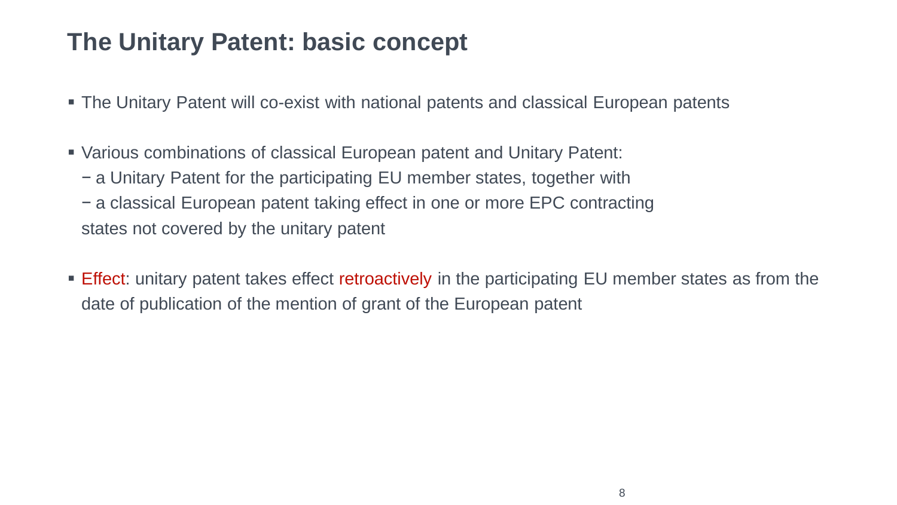#### **The Unitary Patent: basic concept**

- **The Unitary Patent will co-exist with national patents and classical European patents**
- Various combinations of classical European patent and Unitary Patent:
	- − a Unitary Patent for the participating EU member states, together with − a classical European patent taking effect in one or more EPC contracting
	- states not covered by the unitary patent
- **Effect:** unitary patent takes effect retroactively in the participating EU member states as from the date of publication of the mention of grant of the European patent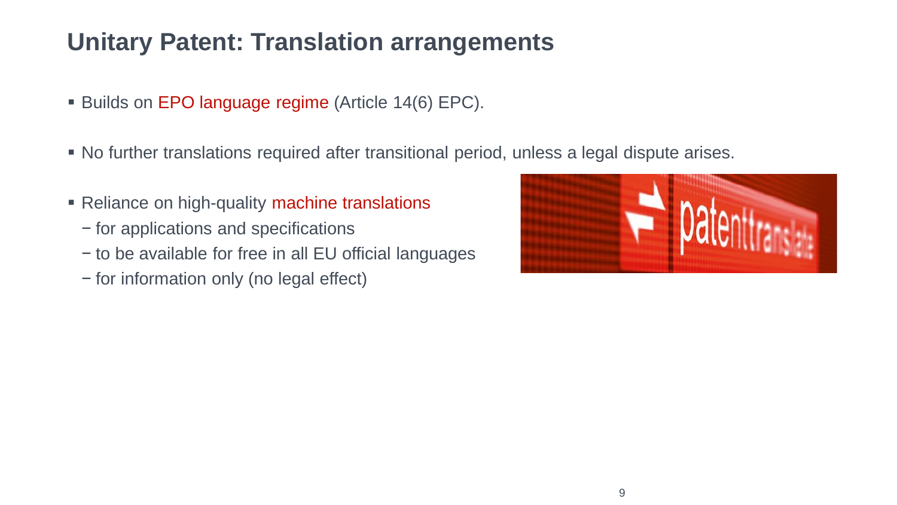### **Unitary Patent: Translation arrangements**

- Builds on EPO language regime (Article 14(6) EPC).
- No further translations required after transitional period, unless a legal dispute arises.
- **EXECUTE:** Reliance on high-quality machine translations
	- − for applications and specifications
	- − to be available for free in all EU official languages
	- − for information only (no legal effect)

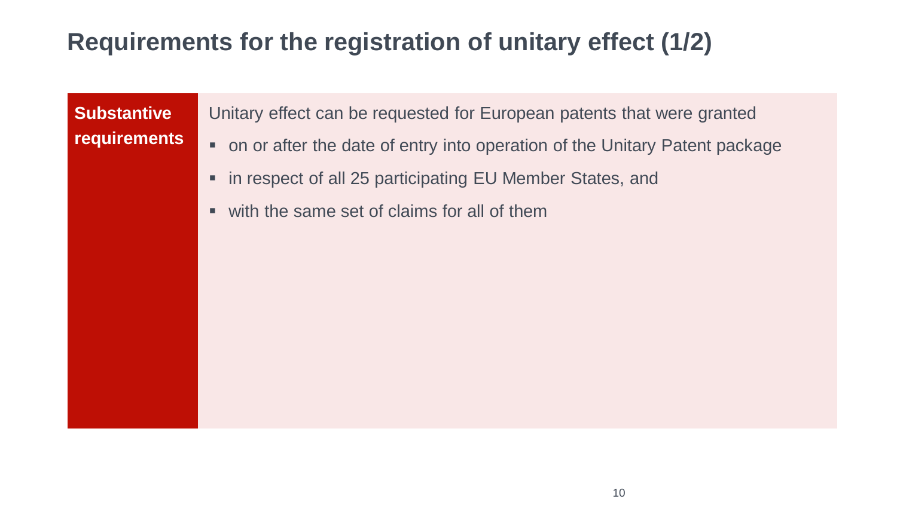### **Requirements for the registration of unitary effect (1/2)**

**Substantive requirements** Unitary effect can be requested for European patents that were granted

- on or after the date of entry into operation of the Unitary Patent package
- in respect of all 25 participating EU Member States, and
- $\blacksquare$  with the same set of claims for all of them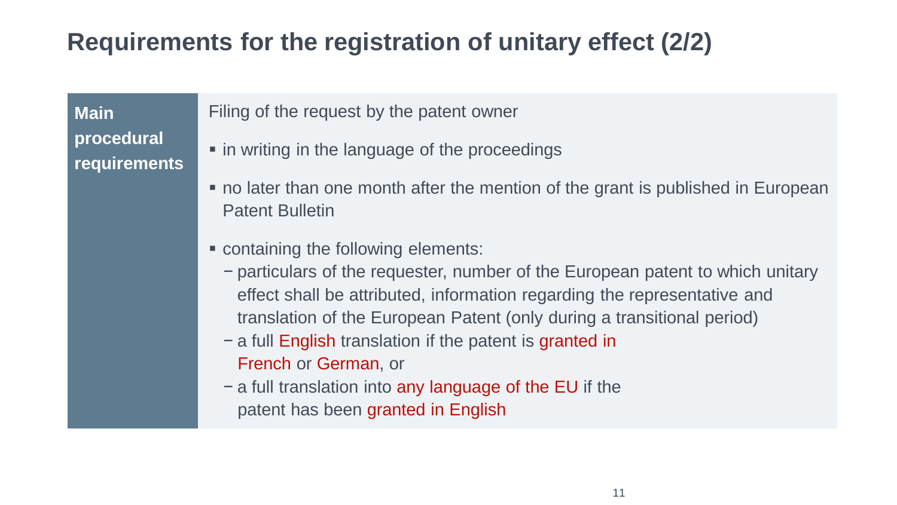### **Requirements for the registration of unitary effect (2/2)**

**Main procedural requirements** Filing of the request by the patent owner

- $\blacksquare$  in writing in the language of the proceedings
- no later than one month after the mention of the grant is published in European Patent Bulletin
- containing the following elements:
	- − particulars of the requester, number of the European patent to which unitary effect shall be attributed, information regarding the representative and translation of the European Patent (only during a transitional period)
	- − a full English translation if the patent is granted in French or German, or
	- − a full translation into any language of the EU if the patent has been granted in English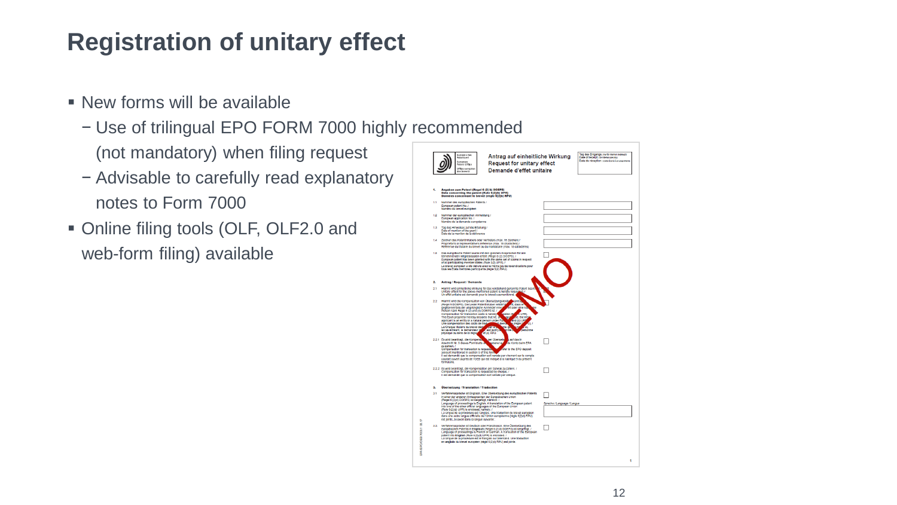### **Registration of unitary effect**

- $\blacksquare$  New forms will be available
	- − Use of trilingual EPO FORM 7000 highly recommended (not mandatory) when filing request
	- − Advisable to carefully read explanatory notes to Form 7000
- Online filing tools (OLF, OLF2.0 and web-form filing) available

|          | Europäisches<br>Patentsmt<br>European<br>Patent Office<br>Office européen<br>des brevets                                                                                                                                                                                                                                                                                                                                                                                                                                                                                                                                                                                                       | Antrag auf einheitliche Wirkung<br><b>Request for unitary effect</b><br>Demande d'effet unitaire |  |
|----------|------------------------------------------------------------------------------------------------------------------------------------------------------------------------------------------------------------------------------------------------------------------------------------------------------------------------------------------------------------------------------------------------------------------------------------------------------------------------------------------------------------------------------------------------------------------------------------------------------------------------------------------------------------------------------------------------|--------------------------------------------------------------------------------------------------|--|
|          |                                                                                                                                                                                                                                                                                                                                                                                                                                                                                                                                                                                                                                                                                                |                                                                                                  |  |
| 1.       | Angaben zum Patent (Regel 6 (2) b) DOEPS)<br>Data concerning the patent (Rule 6(2)(b) UPR)<br>Données concernant le brevet (règie 6(2)b) RPU)                                                                                                                                                                                                                                                                                                                                                                                                                                                                                                                                                  |                                                                                                  |  |
| 11       | Nummer des eumodischen Ratents /<br>European patent No. /<br>Numéro du brevet européen                                                                                                                                                                                                                                                                                                                                                                                                                                                                                                                                                                                                         |                                                                                                  |  |
| 12       | Nummer der europäischen Anmeldung /<br>European application No. /<br>Numéro de la demande européenne                                                                                                                                                                                                                                                                                                                                                                                                                                                                                                                                                                                           |                                                                                                  |  |
| 13       | Tag des Hinweises auf die Erteilung /<br>Date of mention of the grant /<br>Date de la mention de la délurance                                                                                                                                                                                                                                                                                                                                                                                                                                                                                                                                                                                  |                                                                                                  |  |
| 14       | Zeichen des Patentinhabers oder Vertreters (max. 15 Zeichen) /<br>Propriétor's or representative's reference (max. 15 characters).<br>Reference du titulaire du brevet ou du mandataire (max, 15 caractères)                                                                                                                                                                                                                                                                                                                                                                                                                                                                                   |                                                                                                  |  |
| 1.5      | Das europäische Patent wurde mit den gleichen Ansprüchen für alle<br>teilnehmenden Mitgliedstaaten erfellt (Regel 5 (2) DOEPS), /<br>European patent has been granted with the same set of claims in respect<br>of at participating member states (Rule 5(2) UPR). /<br>Le brevet européen a été délivré avec le même jeu de revendications pour<br>tous les États membres participants (règle 5(2) RPU).                                                                                                                                                                                                                                                                                      |                                                                                                  |  |
| 2.       | <b>Antrag / Request / Demande</b>                                                                                                                                                                                                                                                                                                                                                                                                                                                                                                                                                                                                                                                              |                                                                                                  |  |
| 21       | Hiermit wird einheitliche Wirkung für das vorstehend genannte Patent bear<br>Unitary effect for the above-mentioned patent is hereby reques<br>Un effet unitaire est demandé pour le brevet susmentionné.                                                                                                                                                                                                                                                                                                                                                                                                                                                                                      |                                                                                                  |  |
| $22^{1}$ | Hiermit wird die Kompensation von Übersetzungskoste<br>saab<br><b>C.</b> dass of<br>(Regel 9 DOEPS), Decueder Patentinhaber erkisirt a<br>elt oder eine na<br>gegebenentalis der ursprüngliche Anmelder eine<br>Compensation for translation costs is hereby<br><b>Vastes (b)</b><br><b>A</b> retail<br>de, the mit<br>The Each proprietor hereby declares that he, a<br>w<br>$-0.0199$<br>applicant is an entity or a natural person under Ru<br>Une compensation des coûts de tradu<br>юı<br>at dem<br>e et<br>betweene<br>Le/Chaque thuiaire du brevet déci-<br>ato al<br><b>JASEAN</b><br>ю<br>estracen<br>le cas échéant, le demandeur la<br>$et(4)$ RPU<br>physique au sens de la règle, |                                                                                                  |  |
|          | per Oberweis<br>2.2.1 Es wird beantragt, die Kompensi<br>a audidas in<br>Abschrift Nr. 9 deses Formblatts b<br>asbene las<br>de Kordo belm EPA<br>zu zahlen /<br>ster to the EPO deposit<br>Compensation for translation is request<br>account mentioned in section 9 of this forn<br>Il est demandé que la compensation soit versée par virement sur le compte<br>courant ouvert auprès de l'OED qui est indiqué à la rubrique 9 du présent<br>formulaire                                                                                                                                                                                                                                     |                                                                                                  |  |
|          | 2.2.2 Es wird beantragt, die Kompensation per Scheck zu zahlen. /<br>Compensation for translation is requested by cheque.<br>Il est demandé que la compensation soit versée par chéque.                                                                                                                                                                                                                                                                                                                                                                                                                                                                                                        |                                                                                                  |  |
| s.       | Übersetzung / Translation / Traduction                                                                                                                                                                                                                                                                                                                                                                                                                                                                                                                                                                                                                                                         |                                                                                                  |  |
| 3.1      | Verlahrenssprache ist Englisch. Eine Übersetzung des europäischen Patents<br>In einer der anderen Amtssprachen der Europäischen Union<br>invegel 6 (2) d) DOEPS) ist belgefogt, namilich: /<br>Language of proceedings is English. A franslation of the European patent<br>Into one of the other official languages of the European Union<br>(Rule 6(2)(d) UPR) is enclosed, namely: /<br>La langue de la procédure est l'angials. Une traduction du brevet européen<br>dans une autre langue officielle de l'Union européenne (règle 6(2)d) RPU)<br>est jointe, à savoir dans la langue suivante :                                                                                            | Sprache / Language / Langue                                                                      |  |
|          | 3.2. Verfahrenssorache ist Deutsch oder Französisch, Eine Übersetzung des<br>europäischen Patents in Englisch (Regel 6(2)d) DOEPS) ist belgefügt. /<br>Language of proceedings is French or German. A translation of the European<br>patent into English (Rule 6(2)(d) UPR) is enclosed. /<br>La langue de la procédure est le français ou l'allemand. Une traduction<br>en anglale du brevet européen (règle 6(2)d) RPU) est jointe.                                                                                                                                                                                                                                                          |                                                                                                  |  |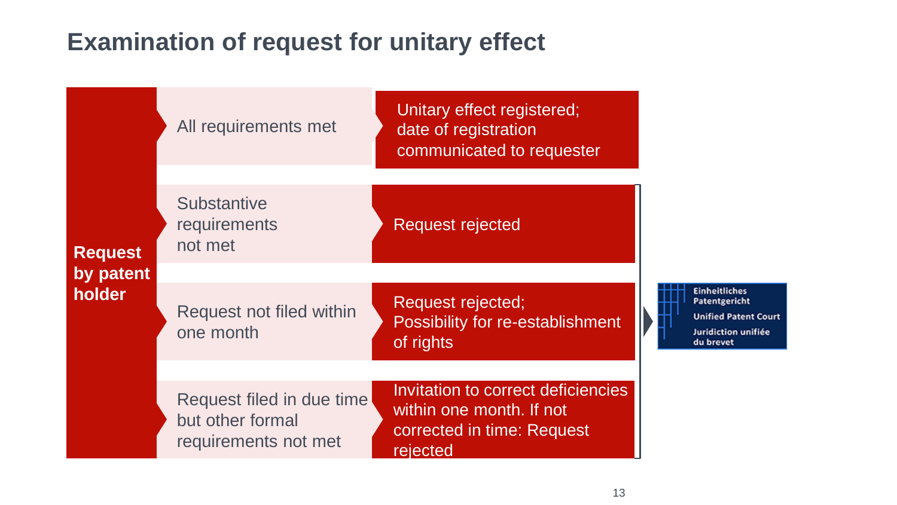### **Examination of request for unitary effect**

|                             | All requirements met                                                  | Unitary effect registered;<br>date of registration<br>communicated to requester                          |                                                                                                          |  |
|-----------------------------|-----------------------------------------------------------------------|----------------------------------------------------------------------------------------------------------|----------------------------------------------------------------------------------------------------------|--|
| <b>Request</b><br>by patent | <b>Substantive</b><br>requirements<br>not met                         | <b>Request rejected</b>                                                                                  |                                                                                                          |  |
| holder                      | Request not filed within<br>one month                                 | Request rejected;<br>Possibility for re-establishment<br>of rights                                       | <b>Einheitliches</b><br>Patentgericht<br><b>Unified Patent Court</b><br>Juridiction unifiée<br>du brevet |  |
|                             | Request filed in due time<br>but other formal<br>requirements not met | Invitation to correct deficiencies<br>within one month. If not<br>corrected in time: Request<br>rejected |                                                                                                          |  |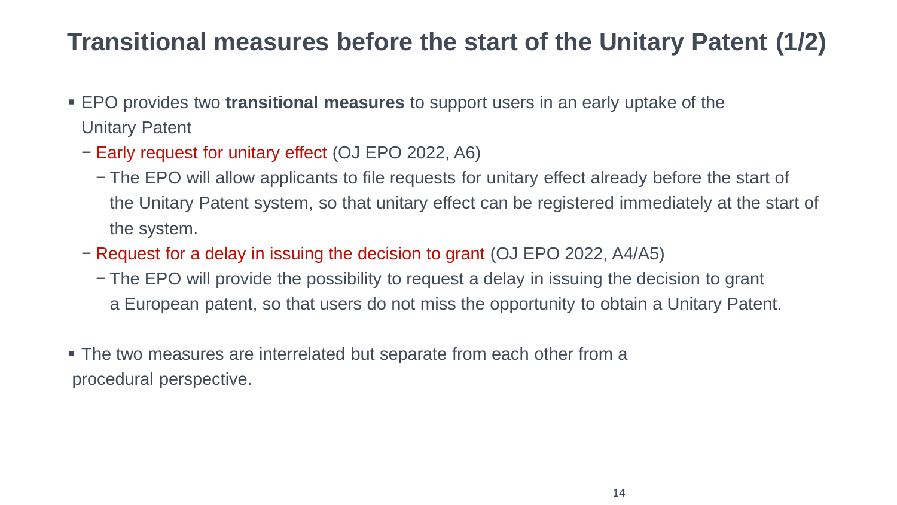### **Transitional measures before the start of the Unitary Patent (1/2)**

- **EPO** provides two **transitional measures** to support users in an early uptake of the Unitary Patent
	- − Early request for unitary effect (OJ EPO 2022, A6)
		- − The EPO will allow applicants to file requests for unitary effect already before the start of the Unitary Patent system, so that unitary effect can be registered immediately at the start of the system.
	- − Request for a delay in issuing the decision to grant (OJ EPO 2022, A4/A5)
		- − The EPO will provide the possibility to request a delay in issuing the decision to grant a European patent, so that users do not miss the opportunity to obtain a Unitary Patent.
- The two measures are interrelated but separate from each other from a procedural perspective.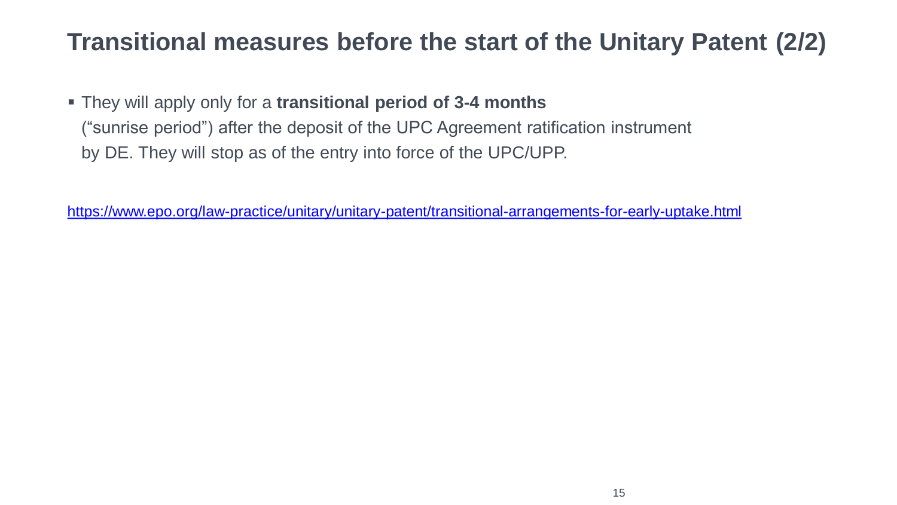### **Transitional measures before the start of the Unitary Patent (2/2)**

▪ They will apply only for a **transitional period of 3-4 months** ("sunrise period") after the deposit of the UPC Agreement ratification instrument by DE. They will stop as of the entry into force of the UPC/UPP.

<https://www.epo.org/law-practice/unitary/unitary-patent/transitional-arrangements-for-early-uptake.html>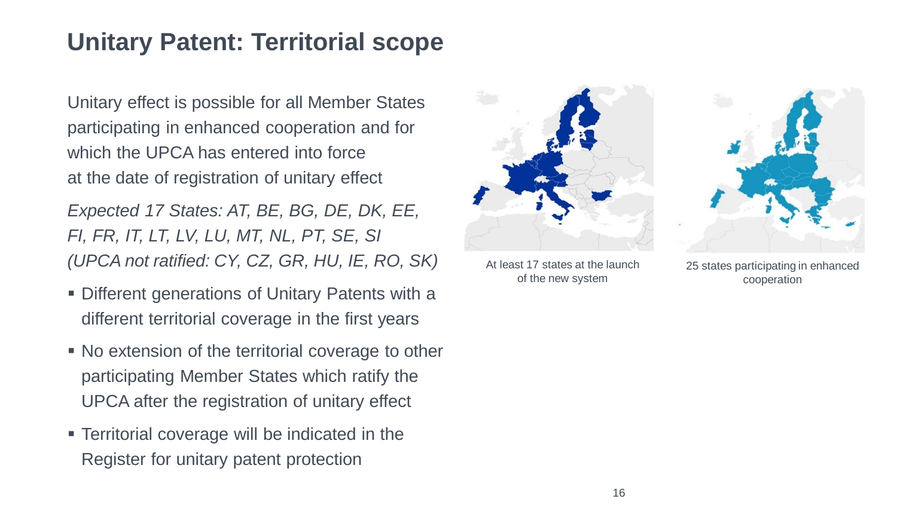### **Unitary Patent: Territorial scope**

Unitary effect is possible for all Member States participating in enhanced cooperation and for which the UPCA has entered into force at the date of registration of unitary effect

*Expected 17 States: AT, BE, BG, DE, DK, EE, FI, FR, IT, LT, LV, LU, MT, NL, PT, SE, SI (UPCA not ratified: CY, CZ, GR, HU, IE, RO, SK)*

- **Different generations of Unitary Patents with a** different territorial coverage in the first years
- No extension of the territorial coverage to other participating Member States which ratify the UPCA after the registration of unitary effect
- **EXECUTE:** Territorial coverage will be indicated in the Register for unitary patent protection



At least 17 states at the launch of the new system

25 states participating in enhanced cooperation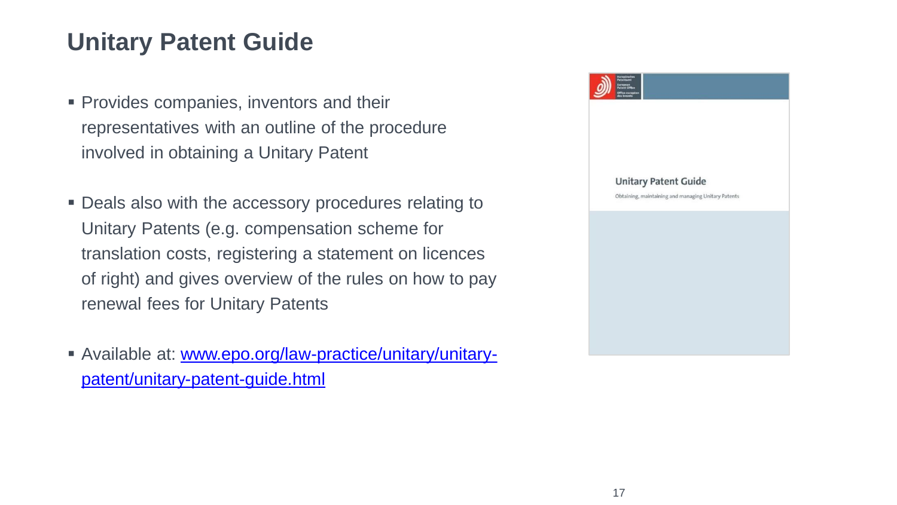#### **Unitary Patent Guide**

- **Provides companies, inventors and their** representatives with an outline of the procedure involved in obtaining a Unitary Patent
- **Deals also with the accessory procedures relating to** Unitary Patents (e.g. compensation scheme for translation costs, registering a statement on licences of right) and gives overview of the rules on how to pay renewal fees for Unitary Patents
- [Available at: www.epo.org/law-practice/unitary/unitary](http://www.epo.org/law-practice/unitary/unitary-patent/unitary-patent-guide.html)patent/unitary-patent-guide.html

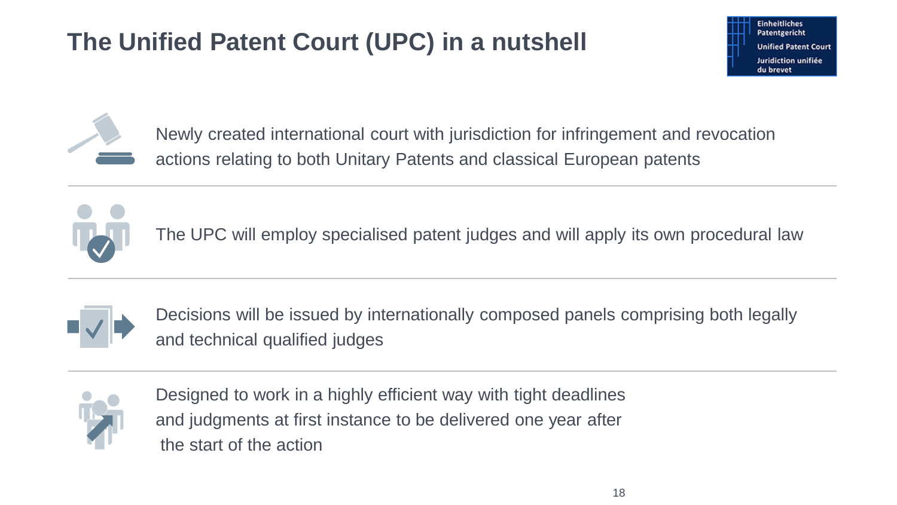# **The Unified Patent Court (UPC) in a nutshell**





Newly created international court with jurisdiction for infringement and revocation actions relating to both Unitary Patents and classical European patents



The UPC will employ specialised patent judges and will apply its own procedural law



Decisions will be issued by internationally composed panels comprising both legally and technical qualified judges



Designed to work in a highly efficient way with tight deadlines and judgments at first instance to be delivered one year after the start of the action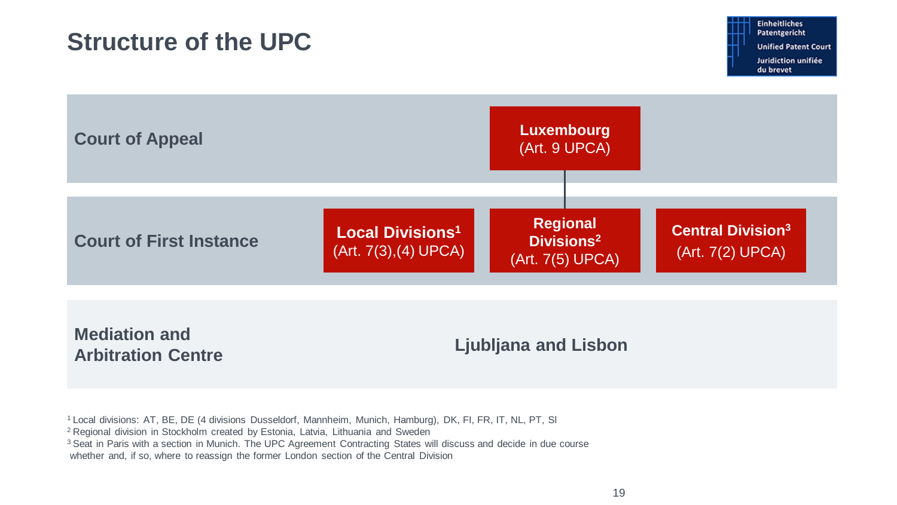#### **Structure of the UPC**



<sup>1</sup>Local divisions: AT, BE, DE (4 divisions Dusseldorf, Mannheim, Munich, Hamburg), DK, FI, FR, IT, NL, PT, Sl

<sup>2</sup> Regional division in Stockholm created by Estonia, Latvia, Lithuania and Sweden

<sup>3</sup> Seat in Paris with a section in Munich. The UPC Agreement Contracting States will discuss and decide in due course

whether and, if so, where to reassign the former London section of the Central Division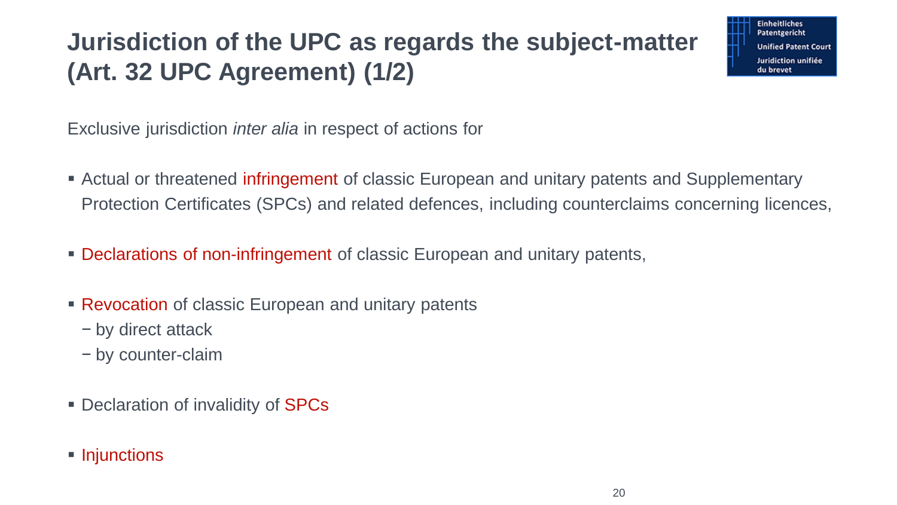# **Jurisdiction of the UPC as regards the subject-matter (Art. 32 UPC Agreement) (1/2)**

**Einheitliches** Patentgericht **Unified Patent Court Juridiction unifiée** du brevet

Exclusive jurisdiction *inter alia* in respect of actions for

- **Example 1** Actual or threatened infringement of classic European and unitary patents and Supplementary Protection Certificates (SPCs) and related defences, including counterclaims concerning licences,
- **Declarations of non-infringement of classic European and unitary patents,**
- **EXECTE PREVOCATION** of classic European and unitary patents
	- − by direct attack
	- − by counter-claim
- Declaration of invalidity of SPCs
- Injunctions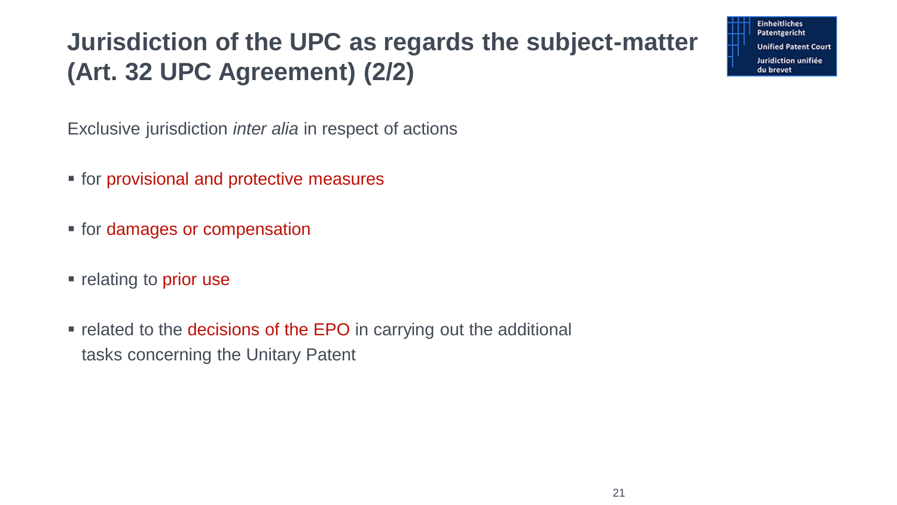# **Jurisdiction of the UPC as regards the subject-matter (Art. 32 UPC Agreement) (2/2)**

**Einheitliches** Patentgericht **Unified Patent Court** Juridiction unifiée du brevet

Exclusive jurisdiction *inter alia* in respect of actions

- for provisional and protective measures
- **for damages or compensation**
- relating to prior use
- **Example 1** related to the decisions of the EPO in carrying out the additional tasks concerning the Unitary Patent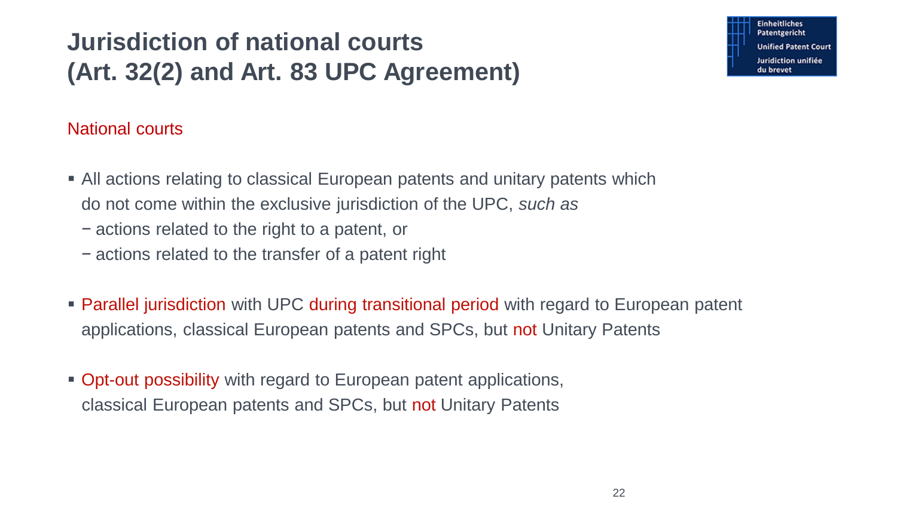# **Jurisdiction of national courts (Art. 32(2) and Art. 83 UPC Agreement)**

#### National courts

- All actions relating to classical European patents and unitary patents which do not come within the exclusive jurisdiction of the UPC, *such as*
	- − actions related to the right to a patent, or
	- − actions related to the transfer of a patent right
- **Parallel jurisdiction with UPC during transitional period with regard to European patent** applications, classical European patents and SPCs, but not Unitary Patents
- Opt-out possibility with regard to European patent applications, classical European patents and SPCs, but not Unitary Patents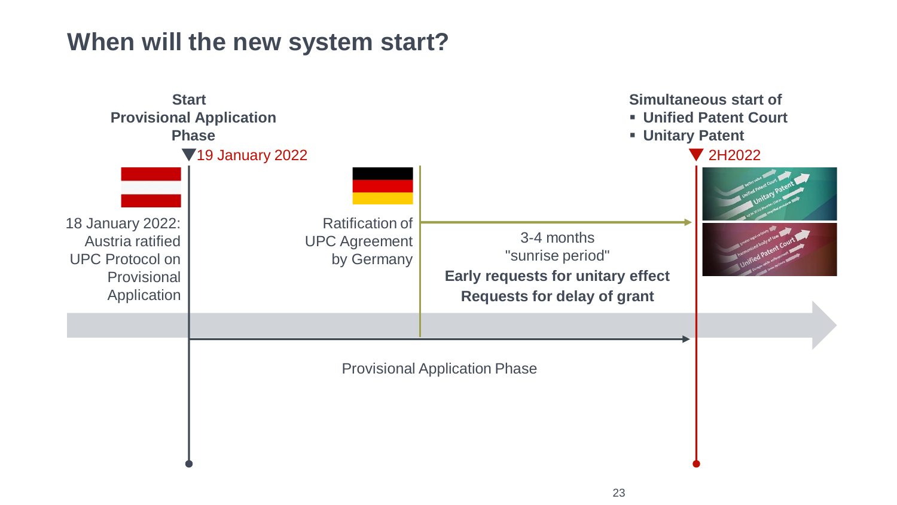#### **When will the new system start?**

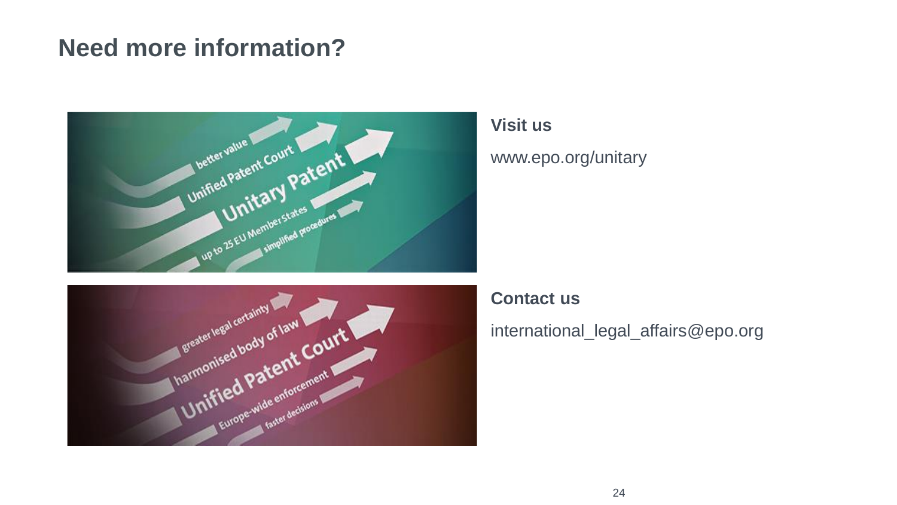#### **Need more information?**



#### **Visit us**

www.epo.org/unitary



#### **Contact us**

international\_legal\_affairs@epo.org